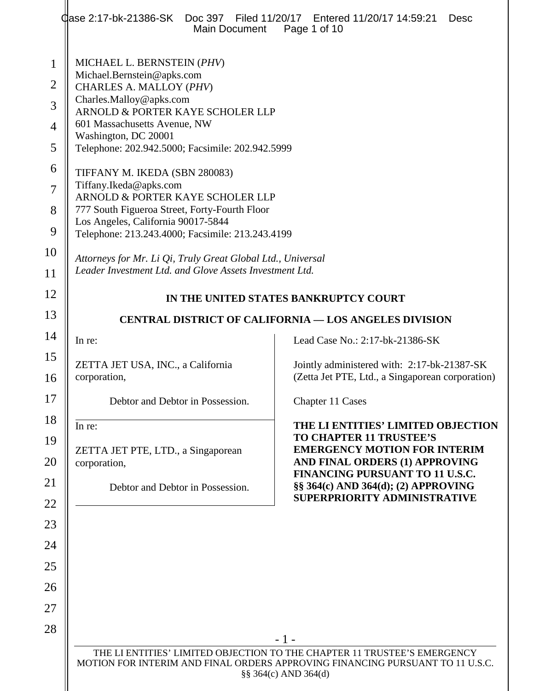| dase 2:17-bk-21386-SK  Doc 397 Filed 11/20/17 Entered 11/20/17 14:59:21<br>Main Document                               | <b>Desc</b><br>Page 1 of 10                                                                                                                   |  |
|------------------------------------------------------------------------------------------------------------------------|-----------------------------------------------------------------------------------------------------------------------------------------------|--|
| MICHAEL L. BERNSTEIN (PHV)<br>Michael.Bernstein@apks.com                                                               |                                                                                                                                               |  |
| CHARLES A. MALLOY (PHV)<br>Charles.Malloy@apks.com                                                                     |                                                                                                                                               |  |
| ARNOLD & PORTER KAYE SCHOLER LLP<br>601 Massachusetts Avenue, NW                                                       |                                                                                                                                               |  |
| Washington, DC 20001<br>Telephone: 202.942.5000; Facsimile: 202.942.5999                                               |                                                                                                                                               |  |
|                                                                                                                        |                                                                                                                                               |  |
| TIFFANY M. IKEDA (SBN 280083)<br>Tiffany.Ikeda@apks.com                                                                |                                                                                                                                               |  |
| ARNOLD & PORTER KAYE SCHOLER LLP<br>777 South Figueroa Street, Forty-Fourth Floor                                      |                                                                                                                                               |  |
| Los Angeles, California 90017-5844<br>Telephone: 213.243.4000; Facsimile: 213.243.4199                                 |                                                                                                                                               |  |
|                                                                                                                        |                                                                                                                                               |  |
| Attorneys for Mr. Li Qi, Truly Great Global Ltd., Universal<br>Leader Investment Ltd. and Glove Assets Investment Ltd. |                                                                                                                                               |  |
| IN THE UNITED STATES BANKRUPTCY COURT                                                                                  |                                                                                                                                               |  |
| <b>CENTRAL DISTRICT OF CALIFORNIA — LOS ANGELES DIVISION</b>                                                           |                                                                                                                                               |  |
| In re:                                                                                                                 | Lead Case No.: 2:17-bk-21386-SK                                                                                                               |  |
| ZETTA JET USA, INC., a California<br>corporation,                                                                      | Jointly administered with: 2:17-bk-21387-SK<br>(Zetta Jet PTE, Ltd., a Singaporean corporation)                                               |  |
| Debtor and Debtor in Possession.                                                                                       | Chapter 11 Cases                                                                                                                              |  |
| In re:<br>ZETTA JET PTE, LTD., a Singaporean<br>corporation,                                                           | THE LI ENTITIES' LIMITED OBJECTION<br><b>TO CHAPTER 11 TRUSTEE'S</b><br><b>EMERGENCY MOTION FOR INTERIM</b><br>AND FINAL ORDERS (1) APPROVING |  |
| Debtor and Debtor in Possession.                                                                                       | FINANCING PURSUANT TO 11 U.S.C.<br>§§ 364(c) AND 364(d); (2) APPROVING<br>SUPERPRIORITY ADMINISTRATIVE                                        |  |
|                                                                                                                        |                                                                                                                                               |  |
|                                                                                                                        |                                                                                                                                               |  |
|                                                                                                                        | $-1-$                                                                                                                                         |  |
| MOTION FOR INTERIM AND FINAL ORDERS APPROVING FINANCING PURSUANT TO 11 U.S.C.                                          | THE LI ENTITIES' LIMITED OBJECTION TO THE CHAPTER 11 TRUSTEE'S EMERGENCY                                                                      |  |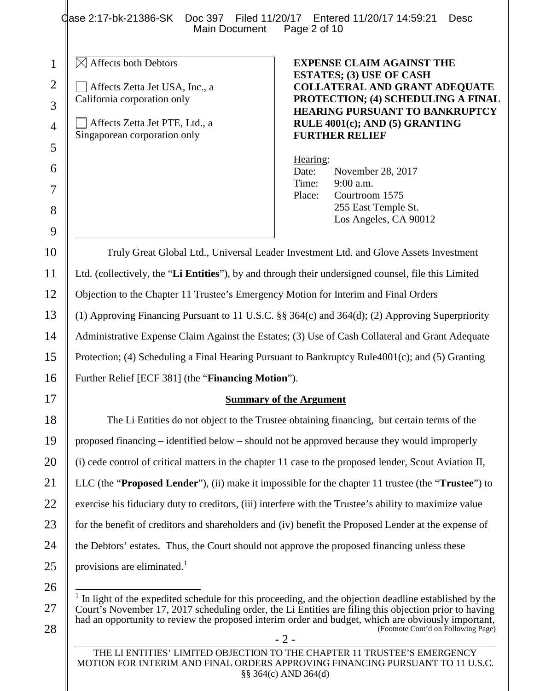Qase 2:17-bk-21386-SK Doc 397 Filed 11/20/17 Entered 11/20/17 14:59:21 Desc<br>Main Document Page 2 of 10 Main Document

 $\boxtimes$  Affects both Debtors

Affects Zetta Jet USA, Inc., a California corporation only

Affects Zetta Jet PTE, Ltd., a Singaporean corporation only

## **EXPENSE CLAIM AGAINST THE ESTATES; (3) USE OF CASH COLLATERAL AND GRANT ADEQUATE PROTECTION; (4) SCHEDULING A FINAL HEARING PURSUANT TO BANKRUPTCY RULE 4001(c); AND (5) GRANTING FURTHER RELIEF**

Hearing: Date: November 28, 2017 Time: 9:00 a.m. Place: Courtroom 1575 255 East Temple St. Los Angeles, CA 90012

Truly Great Global Ltd., Universal Leader Investment Ltd. and Glove Assets Investment Ltd. (collectively, the "**Li Entities**"), by and through their undersigned counsel, file this Limited Objection to the Chapter 11 Trustee's Emergency Motion for Interim and Final Orders (1) Approving Financing Pursuant to 11 U.S.C. §§ 364(c) and 364(d); (2) Approving Superpriority Administrative Expense Claim Against the Estates; (3) Use of Cash Collateral and Grant Adequate Protection; (4) Scheduling a Final Hearing Pursuant to Bankruptcy Rule4001(c); and (5) Granting Further Relief [ECF 381] (the "**Financing Motion**").

## **Summary of the Argument**

The Li Entities do not object to the Trustee obtaining financing, but certain terms of the proposed financing – identified below – should not be approved because they would improperly (i) cede control of critical matters in the chapter 11 case to the proposed lender, Scout Aviation II, LLC (the "**Proposed Lender**"), (ii) make it impossible for the chapter 11 trustee (the "**Trustee**") to exercise his fiduciary duty to creditors, (iii) interfere with the Trustee's ability to maximize value for the benefit of creditors and shareholders and (iv) benefit the Proposed Lender at the expense of the Debtors' estates. Thus, the Court should not approve the proposed financing unless these provisions are eliminated.<sup>1</sup>

THE LI ENTITIES' LIMITED OBJECTION TO THE CHAPTER 11 TRUSTEE'S EMERGENCY MOTION FOR INTERIM AND FINAL ORDERS APPROVING FINANCING PURSUANT TO 11 U.S.C. §§ 364(c) AND 364(d)

1

2

3

<sup>- 2 -</sup> 1 In light of the expedited schedule for this proceeding, and the objection deadline established by the Court's November 17, 2017 scheduling order, the Li Entities are filing this objection prior to having had an opportunity to review the proposed interim order and budget, which are obviously important, (Footnote Cont'd on Following Page)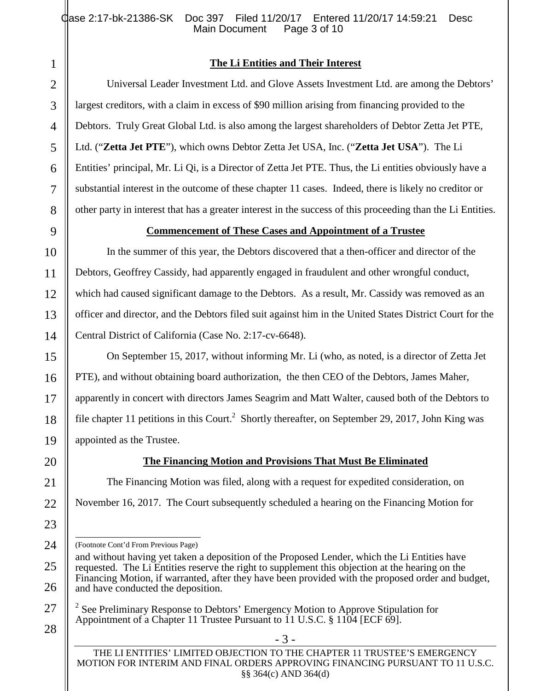## **The Li Entities and Their Interest**

Universal Leader Investment Ltd. and Glove Assets Investment Ltd. are among the Debtors' largest creditors, with a claim in excess of \$90 million arising from financing provided to the Debtors. Truly Great Global Ltd. is also among the largest shareholders of Debtor Zetta Jet PTE, Ltd. ("**Zetta Jet PTE**"), which owns Debtor Zetta Jet USA, Inc. ("**Zetta Jet USA**"). The Li Entities' principal, Mr. Li Qi, is a Director of Zetta Jet PTE. Thus, the Li entities obviously have a substantial interest in the outcome of these chapter 11 cases. Indeed, there is likely no creditor or other party in interest that has a greater interest in the success of this proceeding than the Li Entities.

## **Commencement of These Cases and Appointment of a Trustee**

In the summer of this year, the Debtors discovered that a then-officer and director of the Debtors, Geoffrey Cassidy, had apparently engaged in fraudulent and other wrongful conduct, which had caused significant damage to the Debtors. As a result, Mr. Cassidy was removed as an officer and director, and the Debtors filed suit against him in the United States District Court for the Central District of California (Case No. 2:17-cv-6648).

On September 15, 2017, without informing Mr. Li (who, as noted, is a director of Zetta Jet PTE), and without obtaining board authorization, the then CEO of the Debtors, James Maher, apparently in concert with directors James Seagrim and Matt Walter, caused both of the Debtors to file chapter 11 petitions in this Court.<sup>2</sup> Shortly thereafter, on September 29, 2017, John King was appointed as the Trustee.

# **The Financing Motion and Provisions That Must Be Eliminated**

The Financing Motion was filed, along with a request for expedited consideration, on November 16, 2017. The Court subsequently scheduled a hearing on the Financing Motion for

(Footnote Cont'd From Previous Page)

<sup>2</sup> See Preliminary Response to Debtors' Emergency Motion to Approve Stipulation for Appointment of a Chapter 11 Trustee Pursuant to 11 U.S.C. § 1104 [ECF 69].

- 3 -

and without having yet taken a deposition of the Proposed Lender, which the Li Entities have requested. The Li Entities reserve the right to supplement this objection at the hearing on the Financing Motion, if warranted, after they have been provided with the proposed order and budget, and have conducted the deposition.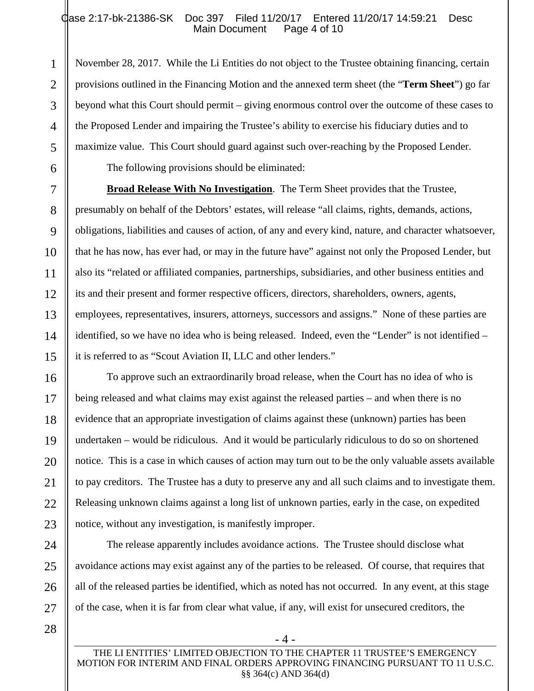### Qase 2:17-bk-21386-SK Doc 397 Filed 11/20/17 Entered 11/20/17 14:59:21 Desc<br>Main Document Page 4 of 10 Main Document

November 28, 2017. While the Li Entities do not object to the Trustee obtaining financing, certain provisions outlined in the Financing Motion and the annexed term sheet (the "**Term Sheet**") go far beyond what this Court should permit – giving enormous control over the outcome of these cases to the Proposed Lender and impairing the Trustee's ability to exercise his fiduciary duties and to maximize value. This Court should guard against such over-reaching by the Proposed Lender.

The following provisions should be eliminated:

**Broad Release With No Investigation**. The Term Sheet provides that the Trustee, presumably on behalf of the Debtors' estates, will release "all claims, rights, demands, actions, obligations, liabilities and causes of action, of any and every kind, nature, and character whatsoever, that he has now, has ever had, or may in the future have" against not only the Proposed Lender, but also its "related or affiliated companies, partnerships, subsidiaries, and other business entities and its and their present and former respective officers, directors, shareholders, owners, agents, employees, representatives, insurers, attorneys, successors and assigns." None of these parties are identified, so we have no idea who is being released. Indeed, even the "Lender" is not identified – it is referred to as "Scout Aviation II, LLC and other lenders."

To approve such an extraordinarily broad release, when the Court has no idea of who is being released and what claims may exist against the released parties – and when there is no evidence that an appropriate investigation of claims against these (unknown) parties has been undertaken – would be ridiculous. And it would be particularly ridiculous to do so on shortened notice. This is a case in which causes of action may turn out to be the only valuable assets available to pay creditors. The Trustee has a duty to preserve any and all such claims and to investigate them. Releasing unknown claims against a long list of unknown parties, early in the case, on expedited notice, without any investigation, is manifestly improper.

The release apparently includes avoidance actions. The Trustee should disclose what avoidance actions may exist against any of the parties to be released. Of course, that requires that all of the released parties be identified, which as noted has not occurred. In any event, at this stage of the case, when it is far from clear what value, if any, will exist for unsecured creditors, the

1

2

3

4

5

6

7

8

9

- 4 -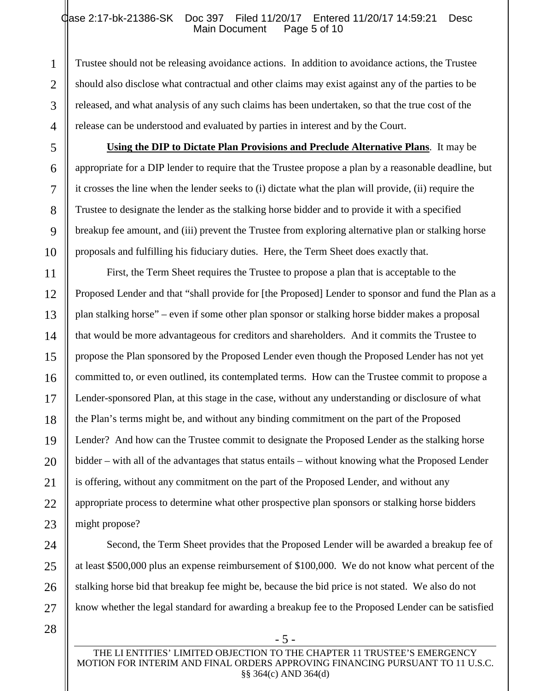### Qase 2:17-bk-21386-SK Doc 397 Filed 11/20/17 Entered 11/20/17 14:59:21 Desc<br>Main Document Page 5 of 10 Main Document

Trustee should not be releasing avoidance actions. In addition to avoidance actions, the Trustee should also disclose what contractual and other claims may exist against any of the parties to be released, and what analysis of any such claims has been undertaken, so that the true cost of the release can be understood and evaluated by parties in interest and by the Court.

**Using the DIP to Dictate Plan Provisions and Preclude Alternative Plans**. It may be appropriate for a DIP lender to require that the Trustee propose a plan by a reasonable deadline, but it crosses the line when the lender seeks to (i) dictate what the plan will provide, (ii) require the Trustee to designate the lender as the stalking horse bidder and to provide it with a specified breakup fee amount, and (iii) prevent the Trustee from exploring alternative plan or stalking horse proposals and fulfilling his fiduciary duties. Here, the Term Sheet does exactly that.

First, the Term Sheet requires the Trustee to propose a plan that is acceptable to the Proposed Lender and that "shall provide for [the Proposed] Lender to sponsor and fund the Plan as a plan stalking horse" – even if some other plan sponsor or stalking horse bidder makes a proposal that would be more advantageous for creditors and shareholders. And it commits the Trustee to propose the Plan sponsored by the Proposed Lender even though the Proposed Lender has not yet committed to, or even outlined, its contemplated terms. How can the Trustee commit to propose a Lender-sponsored Plan, at this stage in the case, without any understanding or disclosure of what the Plan's terms might be, and without any binding commitment on the part of the Proposed Lender? And how can the Trustee commit to designate the Proposed Lender as the stalking horse bidder – with all of the advantages that status entails – without knowing what the Proposed Lender is offering, without any commitment on the part of the Proposed Lender, and without any appropriate process to determine what other prospective plan sponsors or stalking horse bidders might propose?

Second, the Term Sheet provides that the Proposed Lender will be awarded a breakup fee of at least \$500,000 plus an expense reimbursement of \$100,000. We do not know what percent of the stalking horse bid that breakup fee might be, because the bid price is not stated. We also do not know whether the legal standard for awarding a breakup fee to the Proposed Lender can be satisfied

1

2

3

4

5

6

7

8

9

10

11

12

13

14

15

16

17

18

19

20

21

22

23

24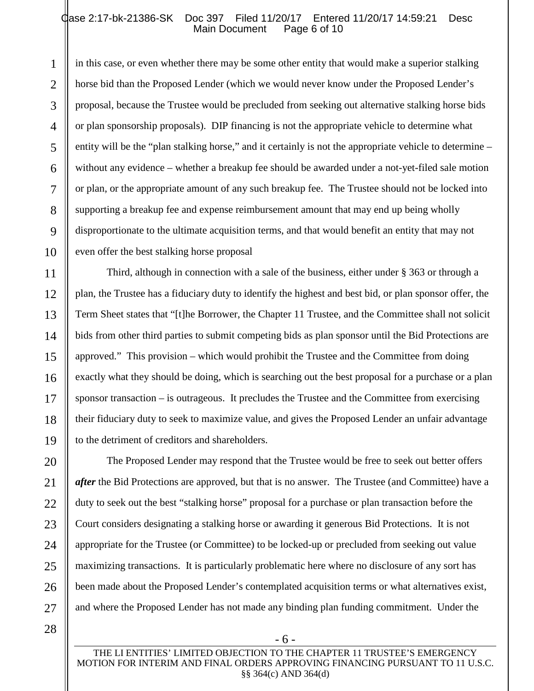#### Qase 2:17-bk-21386-SK Doc 397 Filed 11/20/17 Entered 11/20/17 14:59:21 Desc<br>Main Document Page 6 of 10 Main Document

in this case, or even whether there may be some other entity that would make a superior stalking horse bid than the Proposed Lender (which we would never know under the Proposed Lender's proposal, because the Trustee would be precluded from seeking out alternative stalking horse bids or plan sponsorship proposals). DIP financing is not the appropriate vehicle to determine what entity will be the "plan stalking horse," and it certainly is not the appropriate vehicle to determine – without any evidence – whether a breakup fee should be awarded under a not-yet-filed sale motion or plan, or the appropriate amount of any such breakup fee. The Trustee should not be locked into supporting a breakup fee and expense reimbursement amount that may end up being wholly disproportionate to the ultimate acquisition terms, and that would benefit an entity that may not even offer the best stalking horse proposal

Third, although in connection with a sale of the business, either under § 363 or through a plan, the Trustee has a fiduciary duty to identify the highest and best bid, or plan sponsor offer, the Term Sheet states that "[t]he Borrower, the Chapter 11 Trustee, and the Committee shall not solicit bids from other third parties to submit competing bids as plan sponsor until the Bid Protections are approved." This provision – which would prohibit the Trustee and the Committee from doing exactly what they should be doing, which is searching out the best proposal for a purchase or a plan sponsor transaction – is outrageous. It precludes the Trustee and the Committee from exercising their fiduciary duty to seek to maximize value, and gives the Proposed Lender an unfair advantage to the detriment of creditors and shareholders.

The Proposed Lender may respond that the Trustee would be free to seek out better offers *after* the Bid Protections are approved, but that is no answer. The Trustee (and Committee) have a duty to seek out the best "stalking horse" proposal for a purchase or plan transaction before the Court considers designating a stalking horse or awarding it generous Bid Protections. It is not appropriate for the Trustee (or Committee) to be locked-up or precluded from seeking out value maximizing transactions. It is particularly problematic here where no disclosure of any sort has been made about the Proposed Lender's contemplated acquisition terms or what alternatives exist, and where the Proposed Lender has not made any binding plan funding commitment. Under the

1

2

3

4

5

6

7

8

9

10

11

12

13

14

15

16

17

18

19

20

21

22

- 6 -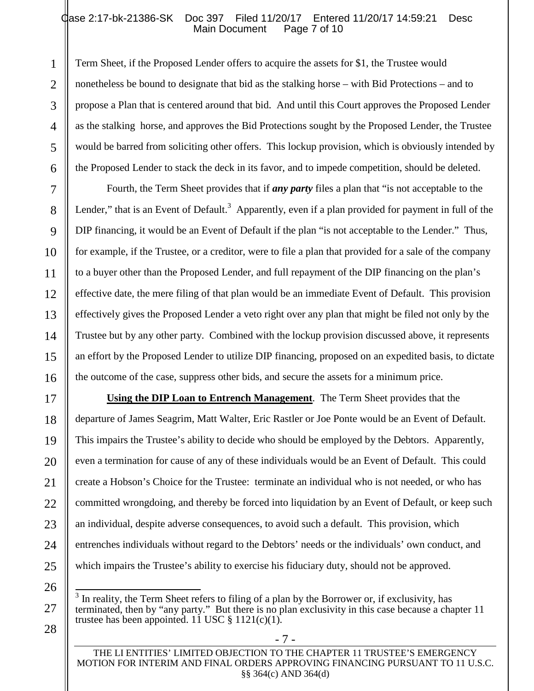### Qase 2:17-bk-21386-SK Doc 397 Filed 11/20/17 Entered 11/20/17 14:59:21 Desc<br>Main Document Page 7 of 10 Main Document

Term Sheet, if the Proposed Lender offers to acquire the assets for \$1, the Trustee would nonetheless be bound to designate that bid as the stalking horse – with Bid Protections – and to propose a Plan that is centered around that bid. And until this Court approves the Proposed Lender as the stalking horse, and approves the Bid Protections sought by the Proposed Lender, the Trustee would be barred from soliciting other offers. This lockup provision, which is obviously intended by the Proposed Lender to stack the deck in its favor, and to impede competition, should be deleted.

Fourth, the Term Sheet provides that if *any party* files a plan that "is not acceptable to the Lender," that is an Event of Default.<sup>3</sup> Apparently, even if a plan provided for payment in full of the DIP financing, it would be an Event of Default if the plan "is not acceptable to the Lender." Thus, for example, if the Trustee, or a creditor, were to file a plan that provided for a sale of the company to a buyer other than the Proposed Lender, and full repayment of the DIP financing on the plan's effective date, the mere filing of that plan would be an immediate Event of Default. This provision effectively gives the Proposed Lender a veto right over any plan that might be filed not only by the Trustee but by any other party. Combined with the lockup provision discussed above, it represents an effort by the Proposed Lender to utilize DIP financing, proposed on an expedited basis, to dictate the outcome of the case, suppress other bids, and secure the assets for a minimum price.

**Using the DIP Loan to Entrench Management**. The Term Sheet provides that the departure of James Seagrim, Matt Walter, Eric Rastler or Joe Ponte would be an Event of Default. This impairs the Trustee's ability to decide who should be employed by the Debtors. Apparently, even a termination for cause of any of these individuals would be an Event of Default. This could create a Hobson's Choice for the Trustee: terminate an individual who is not needed, or who has committed wrongdoing, and thereby be forced into liquidation by an Event of Default, or keep such an individual, despite adverse consequences, to avoid such a default. This provision, which entrenches individuals without regard to the Debtors' needs or the individuals' own conduct, and which impairs the Trustee's ability to exercise his fiduciary duty, should not be approved.

<sup>3</sup> In reality, the Term Sheet refers to filing of a plan by the Borrower or, if exclusivity, has terminated, then by "any party." But there is no plan exclusivity in this case because a chapter 11 trustee has been appointed. 11 USC § 1121(c)(1).

THE LI ENTITIES' LIMITED OBJECTION TO THE CHAPTER 11 TRUSTEE'S EMERGENCY MOTION FOR INTERIM AND FINAL ORDERS APPROVING FINANCING PURSUANT TO 11 U.S.C. §§ 364(c) AND 364(d)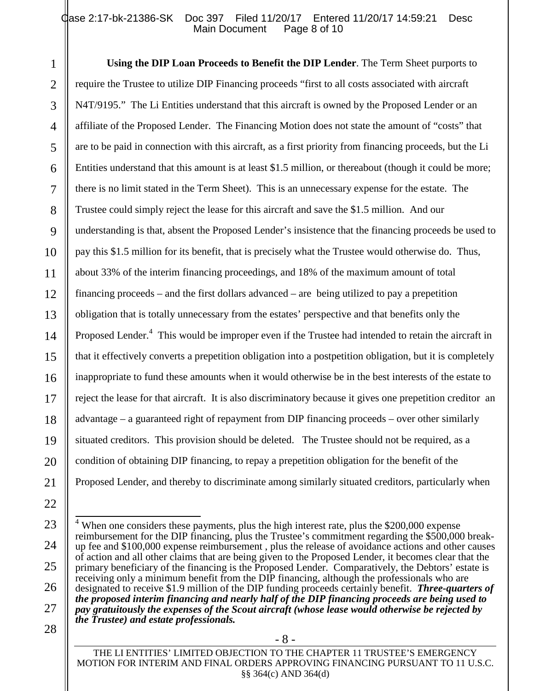#### Qase 2:17-bk-21386-SK Doc 397 Filed 11/20/17 Entered 11/20/17 14:59:21 Desc<br>Main Document Page 8 of 10 Main Document

**Using the DIP Loan Proceeds to Benefit the DIP Lender**. The Term Sheet purports to require the Trustee to utilize DIP Financing proceeds "first to all costs associated with aircraft N4T/9195." The Li Entities understand that this aircraft is owned by the Proposed Lender or an affiliate of the Proposed Lender. The Financing Motion does not state the amount of "costs" that are to be paid in connection with this aircraft, as a first priority from financing proceeds, but the Li Entities understand that this amount is at least \$1.5 million, or thereabout (though it could be more; there is no limit stated in the Term Sheet). This is an unnecessary expense for the estate. The Trustee could simply reject the lease for this aircraft and save the \$1.5 million. And our understanding is that, absent the Proposed Lender's insistence that the financing proceeds be used to pay this \$1.5 million for its benefit, that is precisely what the Trustee would otherwise do. Thus, about 33% of the interim financing proceedings, and 18% of the maximum amount of total financing proceeds – and the first dollars advanced – are being utilized to pay a prepetition obligation that is totally unnecessary from the estates' perspective and that benefits only the Proposed Lender.<sup>4</sup> This would be improper even if the Trustee had intended to retain the aircraft in that it effectively converts a prepetition obligation into a postpetition obligation, but it is completely inappropriate to fund these amounts when it would otherwise be in the best interests of the estate to reject the lease for that aircraft. It is also discriminatory because it gives one prepetition creditor an advantage – a guaranteed right of repayment from DIP financing proceeds – over other similarly situated creditors. This provision should be deleted. The Trustee should not be required, as a condition of obtaining DIP financing, to repay a prepetition obligation for the benefit of the Proposed Lender, and thereby to discriminate among similarly situated creditors, particularly when

<sup>&</sup>lt;sup>4</sup> When one considers these payments, plus the high interest rate, plus the \$200,000 expense reimbursement for the DIP financing, plus the Trustee's commitment regarding the \$500,000 breakup fee and \$100,000 expense reimbursement , plus the release of avoidance actions and other causes of action and all other claims that are being given to the Proposed Lender, it becomes clear that the primary beneficiary of the financing is the Proposed Lender. Comparatively, the Debtors' estate is receiving only a minimum benefit from the DIP financing, although the professionals who are designated to receive \$1.9 million of the DIP funding proceeds certainly benefit. *Three-quarters of the proposed interim financing and nearly half of the DIP financing proceeds are being used to pay gratuitously the expenses of the Scout aircraft (whose lease would otherwise be rejected by the Trustee) and estate professionals.*

THE LI ENTITIES' LIMITED OBJECTION TO THE CHAPTER 11 TRUSTEE'S EMERGENCY MOTION FOR INTERIM AND FINAL ORDERS APPROVING FINANCING PURSUANT TO 11 U.S.C. §§ 364(c) AND 364(d)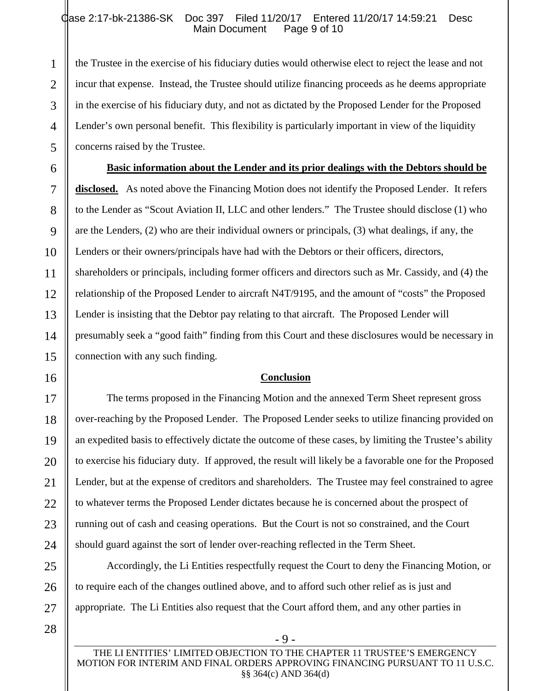#### Qase 2:17-bk-21386-SK Doc 397 Filed 11/20/17 Entered 11/20/17 14:59:21 Desc<br>Main Document Page 9 of 10 Main Document

the Trustee in the exercise of his fiduciary duties would otherwise elect to reject the lease and not incur that expense. Instead, the Trustee should utilize financing proceeds as he deems appropriate in the exercise of his fiduciary duty, and not as dictated by the Proposed Lender for the Proposed Lender's own personal benefit. This flexibility is particularly important in view of the liquidity concerns raised by the Trustee.

**Basic information about the Lender and its prior dealings with the Debtors should be disclosed.** As noted above the Financing Motion does not identify the Proposed Lender. It refers to the Lender as "Scout Aviation II, LLC and other lenders." The Trustee should disclose (1) who are the Lenders, (2) who are their individual owners or principals, (3) what dealings, if any, the Lenders or their owners/principals have had with the Debtors or their officers, directors, shareholders or principals, including former officers and directors such as Mr. Cassidy, and (4) the relationship of the Proposed Lender to aircraft N4T/9195, and the amount of "costs" the Proposed Lender is insisting that the Debtor pay relating to that aircraft. The Proposed Lender will presumably seek a "good faith" finding from this Court and these disclosures would be necessary in connection with any such finding.

#### **Conclusion**

The terms proposed in the Financing Motion and the annexed Term Sheet represent gross over-reaching by the Proposed Lender. The Proposed Lender seeks to utilize financing provided on an expedited basis to effectively dictate the outcome of these cases, by limiting the Trustee's ability to exercise his fiduciary duty. If approved, the result will likely be a favorable one for the Proposed Lender, but at the expense of creditors and shareholders. The Trustee may feel constrained to agree to whatever terms the Proposed Lender dictates because he is concerned about the prospect of running out of cash and ceasing operations. But the Court is not so constrained, and the Court should guard against the sort of lender over-reaching reflected in the Term Sheet.

Accordingly, the Li Entities respectfully request the Court to deny the Financing Motion, or to require each of the changes outlined above, and to afford such other relief as is just and appropriate. The Li Entities also request that the Court afford them, and any other parties in

1

2

3

4

5

6

7

8

9

10

11

12

13

14

15

16

17

18

19

20

21

22

23

24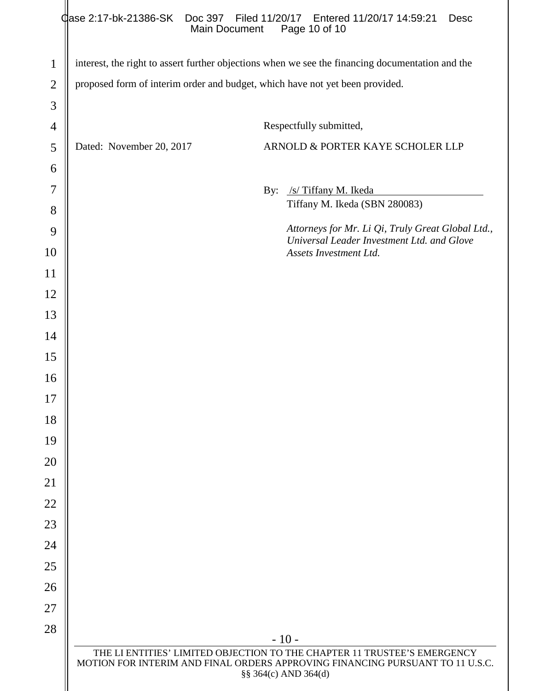|                |                                                                              | Case 2:17-bk-21386-SK  Doc 397  Filed 11/20/17  Entered 11/20/17  14:59:21<br>Desc<br>Main Document<br>Page 10 of 10                                                              |  |
|----------------|------------------------------------------------------------------------------|-----------------------------------------------------------------------------------------------------------------------------------------------------------------------------------|--|
| $\mathbf{1}$   |                                                                              | interest, the right to assert further objections when we see the financing documentation and the                                                                                  |  |
| $\overline{2}$ | proposed form of interim order and budget, which have not yet been provided. |                                                                                                                                                                                   |  |
| 3              |                                                                              |                                                                                                                                                                                   |  |
| $\overline{4}$ |                                                                              | Respectfully submitted,                                                                                                                                                           |  |
| 5              | Dated: November 20, 2017                                                     | ARNOLD & PORTER KAYE SCHOLER LLP                                                                                                                                                  |  |
| 6              |                                                                              |                                                                                                                                                                                   |  |
| 7              |                                                                              | /s/ Tiffany M. Ikeda<br>By:                                                                                                                                                       |  |
| 8              |                                                                              | Tiffany M. Ikeda (SBN 280083)                                                                                                                                                     |  |
| 9              |                                                                              | Attorneys for Mr. Li Qi, Truly Great Global Ltd.,<br>Universal Leader Investment Ltd. and Glove                                                                                   |  |
| 10             |                                                                              | Assets Investment Ltd.                                                                                                                                                            |  |
| 11             |                                                                              |                                                                                                                                                                                   |  |
| 12             |                                                                              |                                                                                                                                                                                   |  |
| 13             |                                                                              |                                                                                                                                                                                   |  |
| 14             |                                                                              |                                                                                                                                                                                   |  |
| 15             |                                                                              |                                                                                                                                                                                   |  |
| 16             |                                                                              |                                                                                                                                                                                   |  |
| 17             |                                                                              |                                                                                                                                                                                   |  |
| 18             |                                                                              |                                                                                                                                                                                   |  |
| 19             |                                                                              |                                                                                                                                                                                   |  |
| 20             |                                                                              |                                                                                                                                                                                   |  |
| 21             |                                                                              |                                                                                                                                                                                   |  |
| 22             |                                                                              |                                                                                                                                                                                   |  |
| 23             |                                                                              |                                                                                                                                                                                   |  |
| 24             |                                                                              |                                                                                                                                                                                   |  |
| 25             |                                                                              |                                                                                                                                                                                   |  |
| 26             |                                                                              |                                                                                                                                                                                   |  |
| 27             |                                                                              |                                                                                                                                                                                   |  |
| 28             |                                                                              | $-10-$                                                                                                                                                                            |  |
|                |                                                                              | THE LI ENTITIES' LIMITED OBJECTION TO THE CHAPTER 11 TRUSTEE'S EMERGENCY<br>MOTION FOR INTERIM AND FINAL ORDERS APPROVING FINANCING PURSUANT TO 11 U.S.C.<br>§§ 364(c) AND 364(d) |  |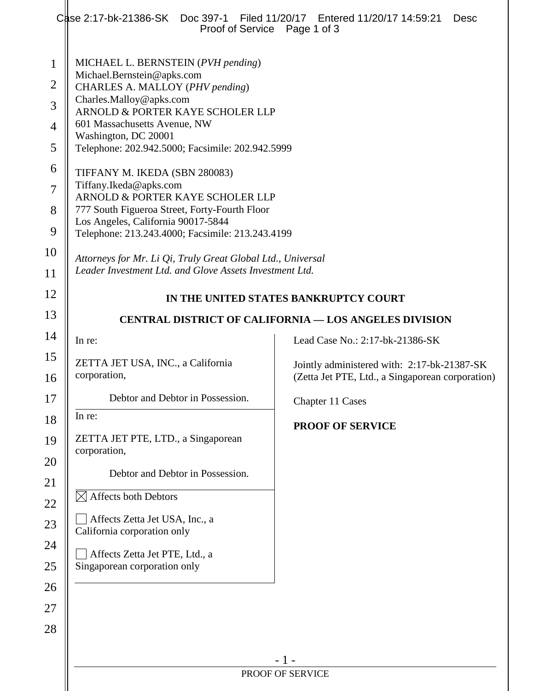|                                                                                            | Case 2:17-bk-21386-SK  Doc 397-1  Filed 11/20/17  Entered 11/20/17 14:59:21<br>Proof of Service                                                                                                                                                                                                                                                                                                                                                                                                                                                                                                                                                    | Desc<br>Page 1 of 3                                                                             |  |
|--------------------------------------------------------------------------------------------|----------------------------------------------------------------------------------------------------------------------------------------------------------------------------------------------------------------------------------------------------------------------------------------------------------------------------------------------------------------------------------------------------------------------------------------------------------------------------------------------------------------------------------------------------------------------------------------------------------------------------------------------------|-------------------------------------------------------------------------------------------------|--|
| $\mathbf{1}$<br>$\overline{2}$<br>3<br>4<br>5<br>6<br>$\overline{7}$<br>8<br>9<br>10<br>11 | MICHAEL L. BERNSTEIN (PVH pending)<br>Michael.Bernstein@apks.com<br>CHARLES A. MALLOY (PHV pending)<br>Charles.Malloy@apks.com<br>ARNOLD & PORTER KAYE SCHOLER LLP<br>601 Massachusetts Avenue, NW<br>Washington, DC 20001<br>Telephone: 202.942.5000; Facsimile: 202.942.5999<br>TIFFANY M. IKEDA (SBN 280083)<br>Tiffany.Ikeda@apks.com<br>ARNOLD & PORTER KAYE SCHOLER LLP<br>777 South Figueroa Street, Forty-Fourth Floor<br>Los Angeles, California 90017-5844<br>Telephone: 213.243.4000; Facsimile: 213.243.4199<br>Attorneys for Mr. Li Qi, Truly Great Global Ltd., Universal<br>Leader Investment Ltd. and Glove Assets Investment Ltd. |                                                                                                 |  |
| 12<br>13                                                                                   | IN THE UNITED STATES BANKRUPTCY COURT                                                                                                                                                                                                                                                                                                                                                                                                                                                                                                                                                                                                              |                                                                                                 |  |
| 14                                                                                         |                                                                                                                                                                                                                                                                                                                                                                                                                                                                                                                                                                                                                                                    | <b>CENTRAL DISTRICT OF CALIFORNIA — LOS ANGELES DIVISION</b>                                    |  |
| 15                                                                                         | In re:                                                                                                                                                                                                                                                                                                                                                                                                                                                                                                                                                                                                                                             | Lead Case No.: 2:17-bk-21386-SK                                                                 |  |
| 16                                                                                         | ZETTA JET USA, INC., a California<br>corporation,                                                                                                                                                                                                                                                                                                                                                                                                                                                                                                                                                                                                  | Jointly administered with: 2:17-bk-21387-SK<br>(Zetta Jet PTE, Ltd., a Singaporean corporation) |  |
| 17                                                                                         | Debtor and Debtor in Possession.                                                                                                                                                                                                                                                                                                                                                                                                                                                                                                                                                                                                                   | Chapter 11 Cases                                                                                |  |
| 18<br>19<br>20<br>21<br>22<br>23                                                           | In re:<br>ZETTA JET PTE, LTD., a Singaporean<br>corporation,<br>Debtor and Debtor in Possession.<br>$\boxtimes$ Affects both Debtors<br>Affects Zetta Jet USA, Inc., a<br>California corporation only                                                                                                                                                                                                                                                                                                                                                                                                                                              | <b>PROOF OF SERVICE</b>                                                                         |  |
| 24<br>25<br>26<br>27<br>28                                                                 | Affects Zetta Jet PTE, Ltd., a<br>Singaporean corporation only                                                                                                                                                                                                                                                                                                                                                                                                                                                                                                                                                                                     |                                                                                                 |  |
|                                                                                            | $-1-$<br>PROOF OF SERVICE                                                                                                                                                                                                                                                                                                                                                                                                                                                                                                                                                                                                                          |                                                                                                 |  |
|                                                                                            |                                                                                                                                                                                                                                                                                                                                                                                                                                                                                                                                                                                                                                                    |                                                                                                 |  |
|                                                                                            |                                                                                                                                                                                                                                                                                                                                                                                                                                                                                                                                                                                                                                                    |                                                                                                 |  |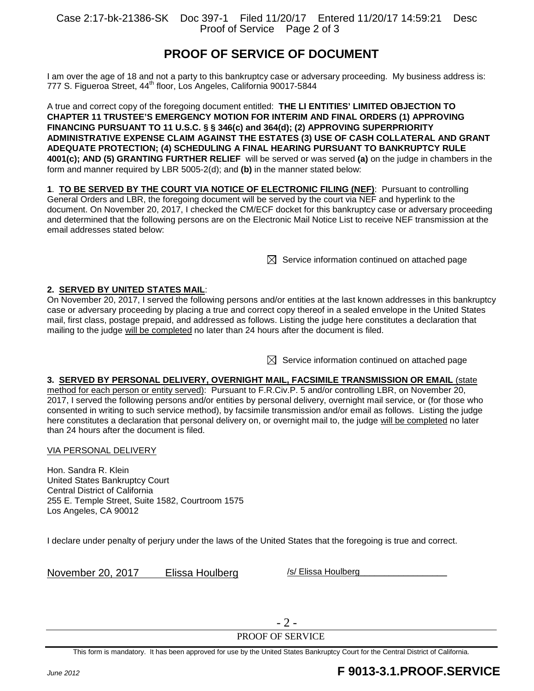Case 2:17-bk-21386-SK Doc 397-1 Filed 11/20/17 Entered 11/20/17 14:59:21 Desc Proof of Service Page 2 of 3

# **PROOF OF SERVICE OF DOCUMENT**

I am over the age of 18 and not a party to this bankruptcy case or adversary proceeding. My business address is: 777 S. Figueroa Street, 44<sup>th</sup> floor, Los Angeles, California 90017-5844

A true and correct copy of the foregoing document entitled: **THE LI ENTITIES' LIMITED OBJECTION TO CHAPTER 11 TRUSTEE'S EMERGENCY MOTION FOR INTERIM AND FINAL ORDERS (1) APPROVING** FINANCING PURSUANT TO 11 U.S.C. § § 346(c) and 364(d); (2) APPROVING SUPERPRIORITY **ADMINISTRATIVE EXPENSE CLAIM AGAINST THE ESTATES (3) USE OF CASH COLLATERAL AND GRANT** A DEQUATE PROTECTION; (4) SCHEDULING A FINAL HEARING PURSUANT TO BANKRUPTCY RULE **4001(c); AND (5) GRANTING FURTHER RELIEF** will be served or was served (a) on the judge in chambers in the form and manner required by LBR 5005-2(d); and (b) in the manner stated below:

**1. TO BE SERVED BY THE COURT VIA NOTICE OF ELECTRONIC FILING (NEF):** Pursuant to controlling General Orders and LBR, the foregoing document will be served by the court via NEF and hyperlink to the document. On November 20, 2017, I checked the CM/ECF docket for this bankruptcy case or adversary proceeding and determined that the following persons are on the Electronic Mail Notice List to receive NEF transmission at the email addresses stated below:

 $\boxtimes$  Service information continued on attached page

#### **2. SERVED BY UNITED STATES MAIL:**

On November 20, 2017, I served the following persons and/or entities at the last known addresses in this bankruptcy case or adversary proceeding by placing a true and correct copy thereof in a sealed envelope in the United States mail, first class, postage prepaid, and addressed as follows. Listing the judge here constitutes a declaration that mailing to the judge will be completed no later than 24 hours after the document is filed.

 $\boxtimes$  Service information continued on attached page

#### **3. SERVED BY PERSONAL DELIVERY, OVERNIGHT MAIL, FACSIMILE TRANSMISSION OR EMAIL (state**

method for each person or entity served): Pursuant to F.R.Civ.P. 5 and/or controlling LBR, on November 20, 2017, I served the following persons and/or entities by personal delivery, overnight mail service, or (for those who consented in writing to such service method), by facsimile transmission and/or email as follows. Listing the judge here constitutes a declaration that personal delivery on, or overnight mail to, the judge will be completed no later than 24 hours after the document is filed.

#### VIA PERSONAL DELIVERY

Hon. Sandra R. Klein United States Bankruptcy Court Central District of California 255 E. Temple Street, Suite 1582, Courtroom 1575 Los Angeles, CA 90012

I declare under penalty of perjury under the laws of the United States that the foregoing is true and correct.

November 20, 2017 Elissa Houlberg

-2-

PROOF OF SERVICE

This form is mandatory. It has been approved for use by the United States Bankruptcy Court for the Central District of California.

# *June2012* **F 9 013-3.1.P RO O F .SERVICE**